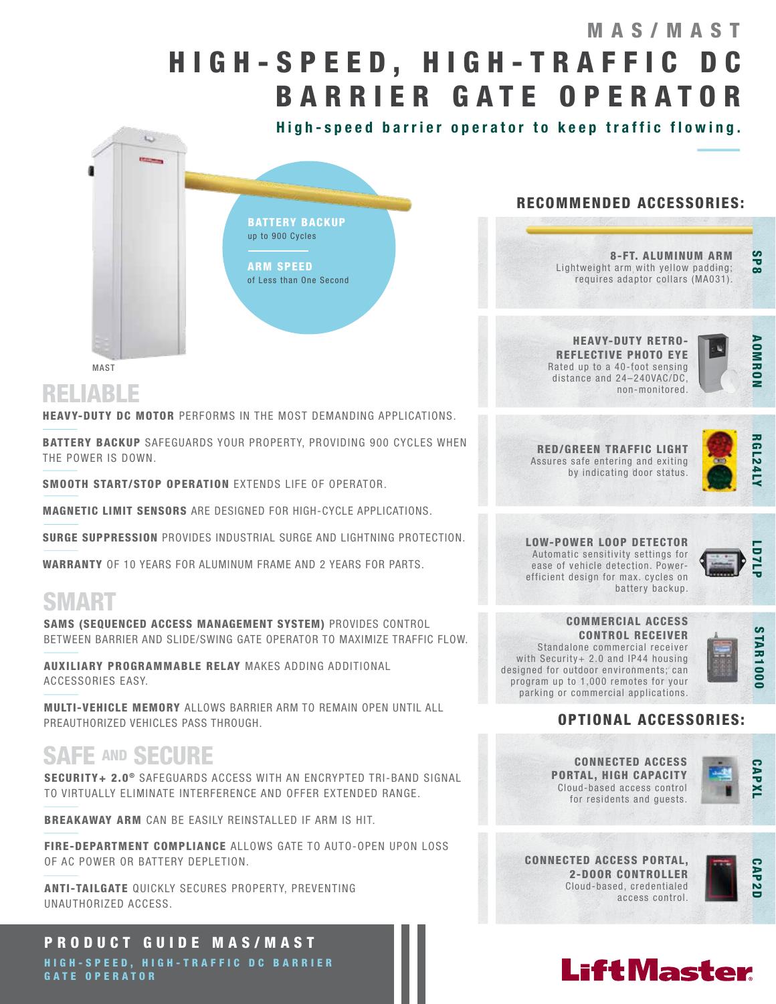# H I G H - S P E E D , H I G H - T R A F F I C D C BARRIER GATE OPERATOR MAS/MAST

High-speed barrier operator to keep traffic flowing.



### MAST

RELIABLE

**HEAVY-DUTY DC MOTOR** PERFORMS IN THE MOST DEMANDING APPLICATIONS.

BATTERY BACKUP SAFEGUARDS YOUR PROPERTY, PROVIDING 900 CYCLES WHEN THE POWER IS DOWN.

SMOOTH START/STOP OPERATION EXTENDS LIFE OF OPERATOR.

MAGNETIC LIMIT SENSORS ARE DESIGNED FOR HIGH-CYCLE APPLICATIONS.

SURGE SUPPRESSION PROVIDES INDUSTRIAL SURGE AND LIGHTNING PROTECTION.

WARRANTY OF 10 YEARS FOR ALUMINUM FRAME AND 2 YEARS FOR PARTS.

## SMART

SAMS (SEQUENCED ACCESS MANAGEMENT SYSTEM) PROVIDES CONTROL BETWEEN BARRIER AND SLIDE/SWING GATE OPERATOR TO MAXIMIZE TRAFFIC FLOW.

AUXILIARY PROGRAMMABLE RELAY MAKES ADDING ADDITIONAL ACCESSORIES EASY.

MULTI-VEHICLE MEMORY ALLOWS BARRIER ARM TO REMAIN OPEN UNTIL ALL PREAUTHORIZED VEHICLES PASS THROUGH.

## SAFE AND SECURE

SECURITY+ 2.0<sup>®</sup> SAFEGUARDS ACCESS WITH AN ENCRYPTED TRI-BAND SIGNAL TO VIRTUALLY ELIMINATE INTERFERENCE AND OFFER EXTENDED RANGE.

BREAKAWAY ARM CAN BE EASILY REINSTALLED IF ARM IS HIT.

FIRE-DEPARTMENT COMPLIANCE ALLOWS GATE TO AUTO-OPEN UPON LOSS OF AC POWER OR BATTERY DEPLETION.

ANTI-TAILGATE QUICKLY SECURES PROPERTY, PREVENTING UNAUTHORIZED ACCESS.

## PRODUCT GUIDE MAS/MAST

HIGH-SPEED, HIGH-TRAFFIC DC BARRIER GATE OPERATOR

## RECOMMENDED ACCESSORIES:

8-FT. ALUMINUM ARM Lightweight arm with yellow padding; requires adaptor collars (MA031).

HEAVY-DUTY RETRO-REFLECTIVE PHOTO EYE Rated up to a 40-foot sensing distance and 24–240VAC/DC, non-monitored.



SP<sub>8</sub>

RED/GREEN TRAFFIC LIGHT Assures safe entering and exiting by indicating door status.



LOW-POWER LOOP DETECTOR Automatic sensitivity settings for ease of vehicle detection. Powerefficient design for max. cycles on battery backup.



COMMERCIAL ACCESS CONTROL RECEIVER Standalone commercial receiver with Security+ 2.0 and IP44 housing designed for outdoor environments; can program up to 1,000 remotes for your parking or commercial applications.



## OPTIONAL ACCESSORIES:

CONNECTED ACCESS PORTAL, HIGH CAPACITY Cloud-based access control for residents and guests.



CONNECTED ACCESS PORTAL, 2-DOOR CONTROLLER Cloud-based, credentialed access control.



# **LiftMaster**